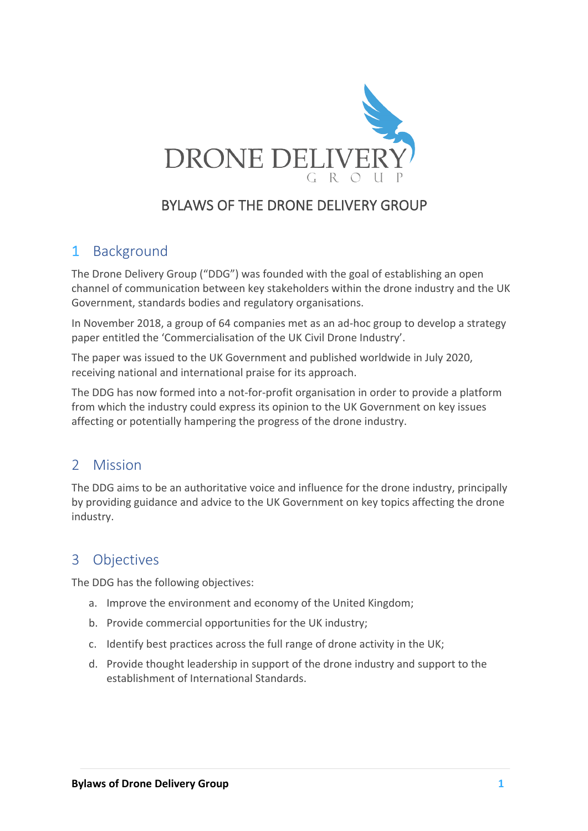

# BYLAWS OF THE DRONE DELIVERY GROUP

# 1 Background

The Drone Delivery Group ("DDG") was founded with the goal of establishing an open channel of communication between key stakeholders within the drone industry and the UK Government, standards bodies and regulatory organisations.

In November 2018, a group of 64 companies met as an ad-hoc group to develop a strategy paper entitled the 'Commercialisation of the UK Civil Drone Industry'.

The paper was issued to the UK Government and published worldwide in July 2020, receiving national and international praise for its approach.

The DDG has now formed into a not-for-profit organisation in order to provide a platform from which the industry could express its opinion to the UK Government on key issues affecting or potentially hampering the progress of the drone industry.

## 2 Mission

The DDG aims to be an authoritative voice and influence for the drone industry, principally by providing guidance and advice to the UK Government on key topics affecting the drone industry.

# 3 Objectives

The DDG has the following objectives:

- a. Improve the environment and economy of the United Kingdom;
- b. Provide commercial opportunities for the UK industry;
- c. Identify best practices across the full range of drone activity in the UK;
- d. Provide thought leadership in support of the drone industry and support to the establishment of International Standards.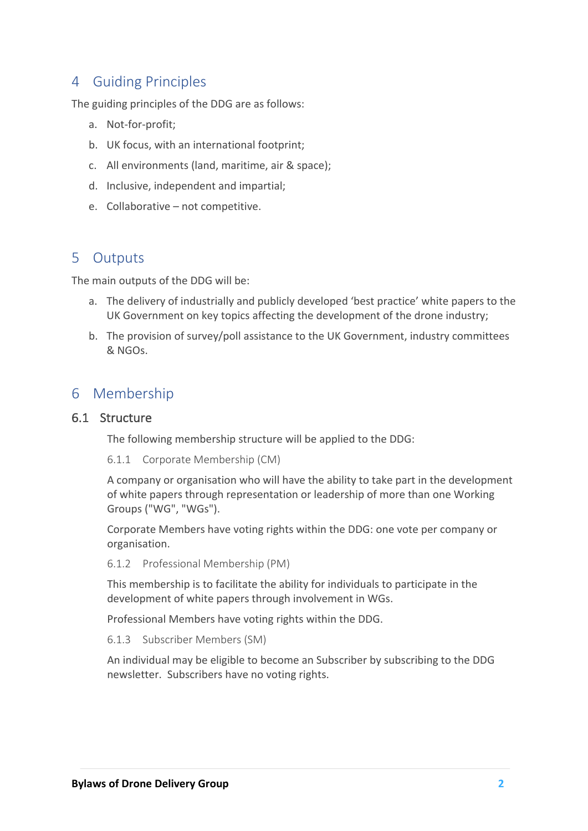## 4 Guiding Principles

The guiding principles of the DDG are as follows:

- a. Not-for-profit;
- b. UK focus, with an international footprint;
- c. All environments (land, maritime, air & space);
- d. Inclusive, independent and impartial;
- e. Collaborative not competitive.

# 5 Outputs

The main outputs of the DDG will be:

- a. The delivery of industrially and publicly developed 'best practice' white papers to the UK Government on key topics affecting the development of the drone industry;
- b. The provision of survey/poll assistance to the UK Government, industry committees & NGOs.

## 6 Membership

#### 6.1 Structure

The following membership structure will be applied to the DDG:

6.1.1 Corporate Membership (CM)

A company or organisation who will have the ability to take part in the development of white papers through representation or leadership of more than one Working Groups ("WG", "WGs").

Corporate Members have voting rights within the DDG: one vote per company or organisation.

6.1.2 Professional Membership (PM)

This membership is to facilitate the ability for individuals to participate in the development of white papers through involvement in WGs.

Professional Members have voting rights within the DDG.

6.1.3 Subscriber Members (SM)

An individual may be eligible to become an Subscriber by subscribing to the DDG newsletter. Subscribers have no voting rights.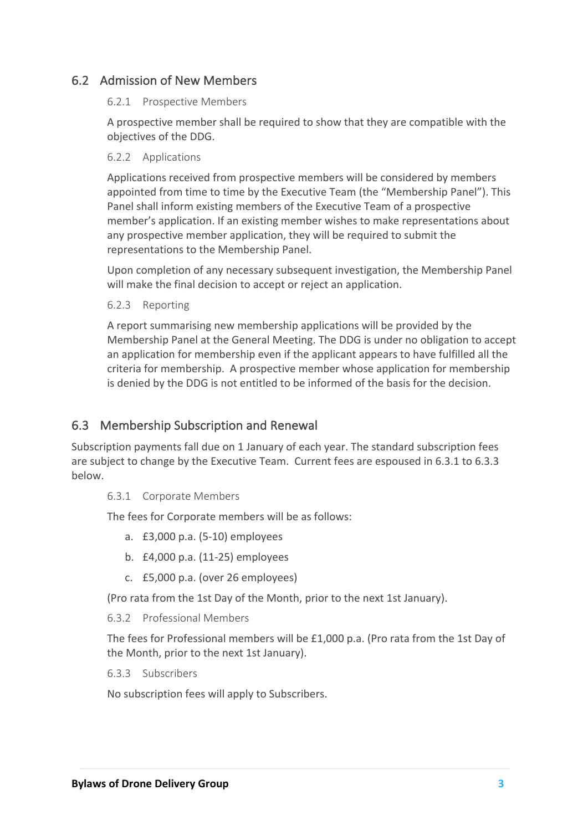#### 6.2 Admission of New Members

#### 6.2.1 Prospective Members

A prospective member shall be required to show that they are compatible with the objectives of the DDG.

#### 6.2.2 Applications

Applications received from prospective members will be considered by members appointed from time to time by the Executive Team (the "Membership Panel"). This Panel shall inform existing members of the Executive Team of a prospective member's application. If an existing member wishes to make representations about any prospective member application, they will be required to submit the representations to the Membership Panel.

Upon completion of any necessary subsequent investigation, the Membership Panel will make the final decision to accept or reject an application.

#### 6.2.3 Reporting

A report summarising new membership applications will be provided by the Membership Panel at the General Meeting. The DDG is under no obligation to accept an application for membership even if the applicant appears to have fulfilled all the criteria for membership. A prospective member whose application for membership is denied by the DDG is not entitled to be informed of the basis for the decision.

#### 6.3 Membership Subscription and Renewal

Subscription payments fall due on 1 January of each year. The standard subscription fees are subject to change by the Executive Team. Current fees are espoused in 6.3.1 to 6.3.3 below.

#### 6.3.1 Corporate Members

The fees for Corporate members will be as follows:

- a. £3,000 p.a. (5-10) employees
- b. £4,000 p.a. (11-25) employees
- c. £5,000 p.a. (over 26 employees)

(Pro rata from the 1st Day of the Month, prior to the next 1st January).

#### 6.3.2 Professional Members

The fees for Professional members will be £1,000 p.a. (Pro rata from the 1st Day of the Month, prior to the next 1st January).

6.3.3 Subscribers

No subscription fees will apply to Subscribers.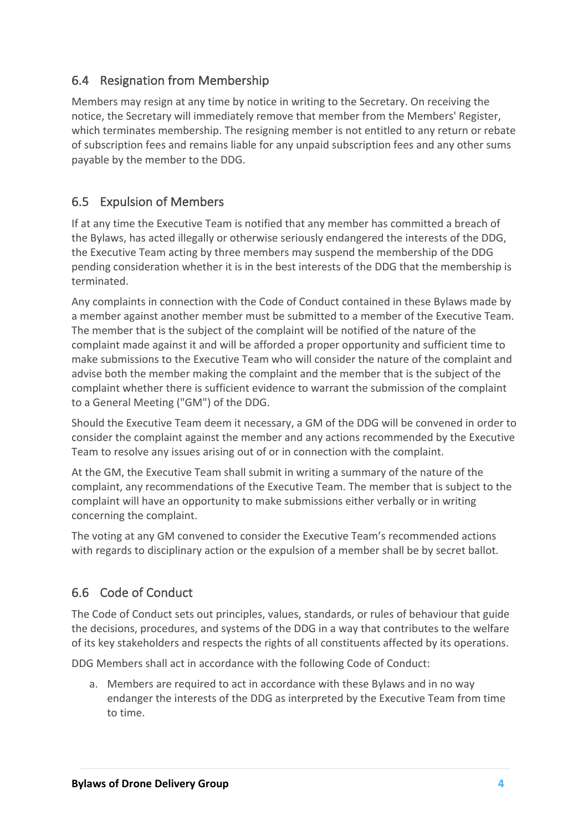## 6.4 Resignation from Membership

Members may resign at any time by notice in writing to the Secretary. On receiving the notice, the Secretary will immediately remove that member from the Members' Register, which terminates membership. The resigning member is not entitled to any return or rebate of subscription fees and remains liable for any unpaid subscription fees and any other sums payable by the member to the DDG.

## 6.5 Expulsion of Members

If at any time the Executive Team is notified that any member has committed a breach of the Bylaws, has acted illegally or otherwise seriously endangered the interests of the DDG, the Executive Team acting by three members may suspend the membership of the DDG pending consideration whether it is in the best interests of the DDG that the membership is terminated.

Any complaints in connection with the Code of Conduct contained in these Bylaws made by a member against another member must be submitted to a member of the Executive Team. The member that is the subject of the complaint will be notified of the nature of the complaint made against it and will be afforded a proper opportunity and sufficient time to make submissions to the Executive Team who will consider the nature of the complaint and advise both the member making the complaint and the member that is the subject of the complaint whether there is sufficient evidence to warrant the submission of the complaint to a General Meeting ("GM") of the DDG.

Should the Executive Team deem it necessary, a GM of the DDG will be convened in order to consider the complaint against the member and any actions recommended by the Executive Team to resolve any issues arising out of or in connection with the complaint.

At the GM, the Executive Team shall submit in writing a summary of the nature of the complaint, any recommendations of the Executive Team. The member that is subject to the complaint will have an opportunity to make submissions either verbally or in writing concerning the complaint.

The voting at any GM convened to consider the Executive Team's recommended actions with regards to disciplinary action or the expulsion of a member shall be by secret ballot.

## 6.6 Code of Conduct

The Code of Conduct sets out principles, values, standards, or rules of behaviour that guide the decisions, procedures, and systems of the DDG in a way that contributes to the welfare of its key stakeholders and respects the rights of all constituents affected by its operations.

DDG Members shall act in accordance with the following Code of Conduct:

a. Members are required to act in accordance with these Bylaws and in no way endanger the interests of the DDG as interpreted by the Executive Team from time to time.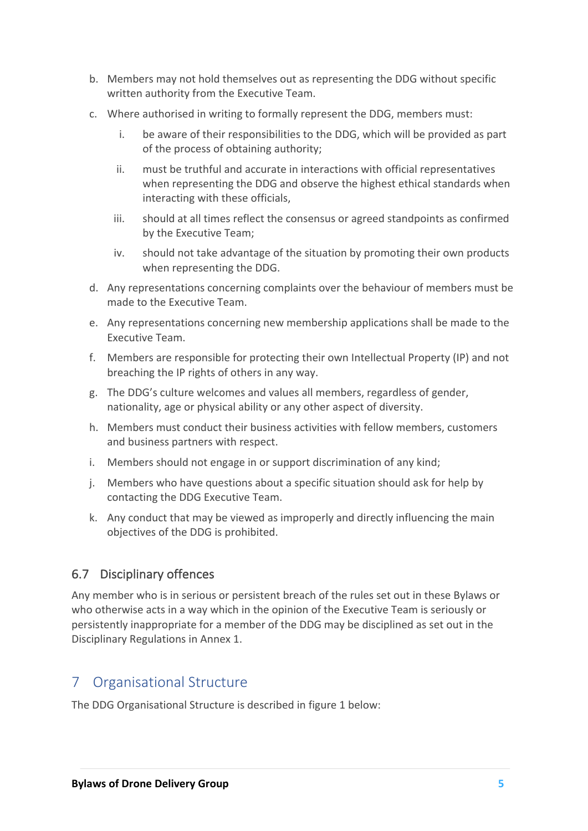- b. Members may not hold themselves out as representing the DDG without specific written authority from the Executive Team.
- c. Where authorised in writing to formally represent the DDG, members must:
	- i. be aware of their responsibilities to the DDG, which will be provided as part of the process of obtaining authority;
	- ii. must be truthful and accurate in interactions with official representatives when representing the DDG and observe the highest ethical standards when interacting with these officials,
	- iii. should at all times reflect the consensus or agreed standpoints as confirmed by the Executive Team;
	- iv. should not take advantage of the situation by promoting their own products when representing the DDG.
- d. Any representations concerning complaints over the behaviour of members must be made to the Executive Team.
- e. Any representations concerning new membership applications shall be made to the Executive Team.
- f. Members are responsible for protecting their own Intellectual Property (IP) and not breaching the IP rights of others in any way.
- g. The DDG's culture welcomes and values all members, regardless of gender, nationality, age or physical ability or any other aspect of diversity.
- h. Members must conduct their business activities with fellow members, customers and business partners with respect.
- i. Members should not engage in or support discrimination of any kind;
- j. Members who have questions about a specific situation should ask for help by contacting the DDG Executive Team.
- k. Any conduct that may be viewed as improperly and directly influencing the main objectives of the DDG is prohibited.

#### 6.7 Disciplinary offences

Any member who is in serious or persistent breach of the rules set out in these Bylaws or who otherwise acts in a way which in the opinion of the Executive Team is seriously or persistently inappropriate for a member of the DDG may be disciplined as set out in the Disciplinary Regulations in Annex 1.

# 7 Organisational Structure

The DDG Organisational Structure is described in figure 1 below: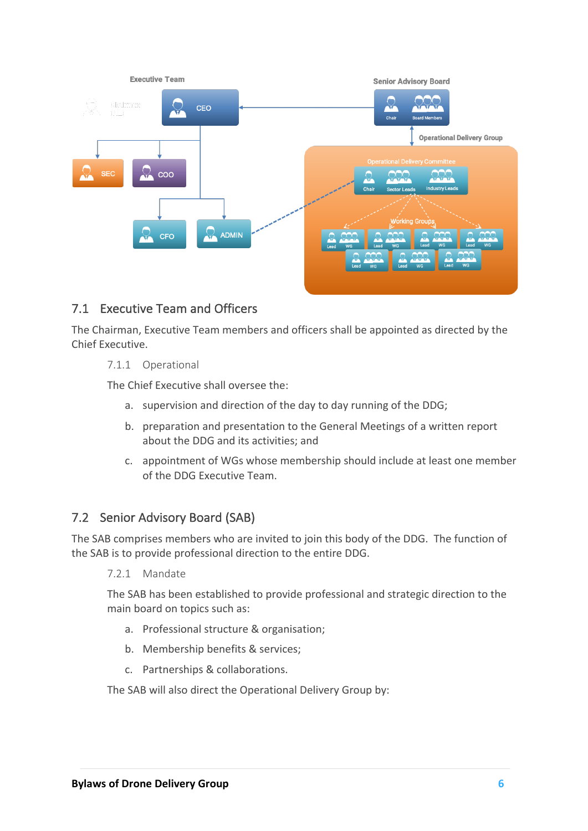

## 7.1 Executive Team and Officers

The Chairman, Executive Team members and officers shall be appointed as directed by the Chief Executive.

#### 7.1.1 Operational

The Chief Executive shall oversee the:

- a. supervision and direction of the day to day running of the DDG;
- b. preparation and presentation to the General Meetings of a written report about the DDG and its activities; and
- c. appointment of WGs whose membership should include at least one member of the DDG Executive Team.

#### 7.2 Senior Advisory Board (SAB)

The SAB comprises members who are invited to join this body of the DDG. The function of the SAB is to provide professional direction to the entire DDG.

7.2.1 Mandate

The SAB has been established to provide professional and strategic direction to the main board on topics such as:

- a. Professional structure & organisation;
- b. Membership benefits & services;
- c. Partnerships & collaborations.

The SAB will also direct the Operational Delivery Group by: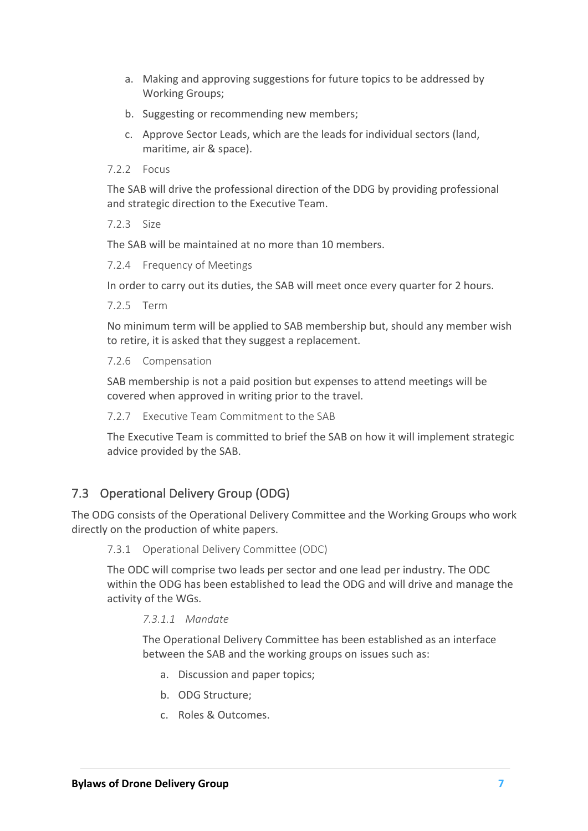- a. Making and approving suggestions for future topics to be addressed by Working Groups;
- b. Suggesting or recommending new members;
- c. Approve Sector Leads, which are the leads for individual sectors (land, maritime, air & space).

7.2.2 Focus

The SAB will drive the professional direction of the DDG by providing professional and strategic direction to the Executive Team.

7.2.3 Size

The SAB will be maintained at no more than 10 members.

7.2.4 Frequency of Meetings

In order to carry out its duties, the SAB will meet once every quarter for 2 hours.

7.2.5 Term

No minimum term will be applied to SAB membership but, should any member wish to retire, it is asked that they suggest a replacement.

7.2.6 Compensation

SAB membership is not a paid position but expenses to attend meetings will be covered when approved in writing prior to the travel.

7.2.7 Executive Team Commitment to the SAB

The Executive Team is committed to brief the SAB on how it will implement strategic advice provided by the SAB.

#### 7.3 Operational Delivery Group (ODG)

The ODG consists of the Operational Delivery Committee and the Working Groups who work directly on the production of white papers.

7.3.1 Operational Delivery Committee (ODC)

The ODC will comprise two leads per sector and one lead per industry. The ODC within the ODG has been established to lead the ODG and will drive and manage the activity of the WGs.

*7.3.1.1 Mandate*

The Operational Delivery Committee has been established as an interface between the SAB and the working groups on issues such as:

- a. Discussion and paper topics;
- b. ODG Structure;
- c. Roles & Outcomes.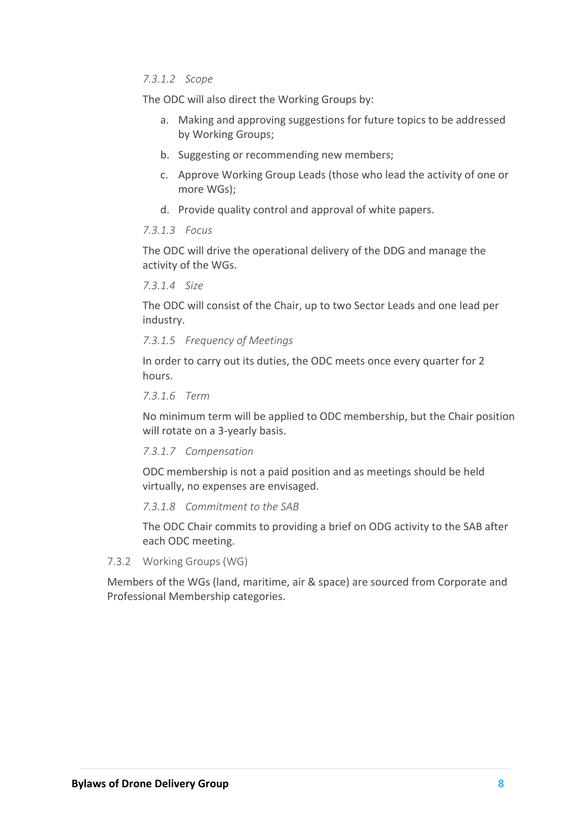#### *7.3.1.2 Scope*

The ODC will also direct the Working Groups by:

- a. Making and approving suggestions for future topics to be addressed by Working Groups;
- b. Suggesting or recommending new members;
- c. Approve Working Group Leads (those who lead the activity of one or more WGs);
- d. Provide quality control and approval of white papers.

#### *7.3.1.3 Focus*

The ODC will drive the operational delivery of the DDG and manage the activity of the WGs.

*7.3.1.4 Size*

The ODC will consist of the Chair, up to two Sector Leads and one lead per industry.

#### *7.3.1.5 Frequency of Meetings*

In order to carry out its duties, the ODC meets once every quarter for 2 hours.

*7.3.1.6 Term*

No minimum term will be applied to ODC membership, but the Chair position will rotate on a 3-yearly basis.

*7.3.1.7 Compensation*

ODC membership is not a paid position and as meetings should be held virtually, no expenses are envisaged.

*7.3.1.8 Commitment to the SAB*

The ODC Chair commits to providing a brief on ODG activity to the SAB after each ODC meeting.

7.3.2 Working Groups (WG)

Members of the WGs (land, maritime, air & space) are sourced from Corporate and Professional Membership categories.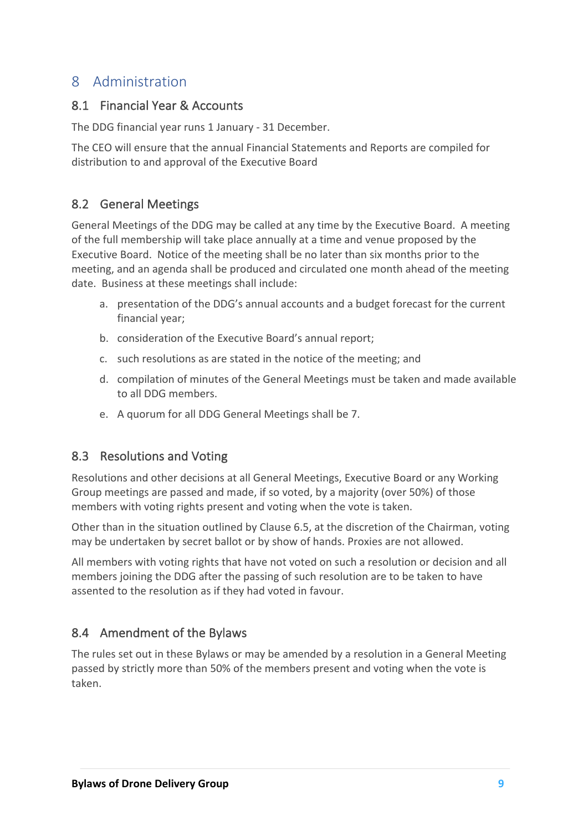# 8 Administration

#### 8.1 Financial Year & Accounts

The DDG financial year runs 1 January - 31 December.

The CEO will ensure that the annual Financial Statements and Reports are compiled for distribution to and approval of the Executive Board

## 8.2 General Meetings

General Meetings of the DDG may be called at any time by the Executive Board. A meeting of the full membership will take place annually at a time and venue proposed by the Executive Board. Notice of the meeting shall be no later than six months prior to the meeting, and an agenda shall be produced and circulated one month ahead of the meeting date. Business at these meetings shall include:

- a. presentation of the DDG's annual accounts and a budget forecast for the current financial year;
- b. consideration of the Executive Board's annual report;
- c. such resolutions as are stated in the notice of the meeting; and
- d. compilation of minutes of the General Meetings must be taken and made available to all DDG members.
- e. A quorum for all DDG General Meetings shall be 7.

#### 8.3 Resolutions and Voting

Resolutions and other decisions at all General Meetings, Executive Board or any Working Group meetings are passed and made, if so voted, by a majority (over 50%) of those members with voting rights present and voting when the vote is taken.

Other than in the situation outlined by Clause 6.5, at the discretion of the Chairman, voting may be undertaken by secret ballot or by show of hands. Proxies are not allowed.

All members with voting rights that have not voted on such a resolution or decision and all members joining the DDG after the passing of such resolution are to be taken to have assented to the resolution as if they had voted in favour.

## 8.4 Amendment of the Bylaws

The rules set out in these Bylaws or may be amended by a resolution in a General Meeting passed by strictly more than 50% of the members present and voting when the vote is taken.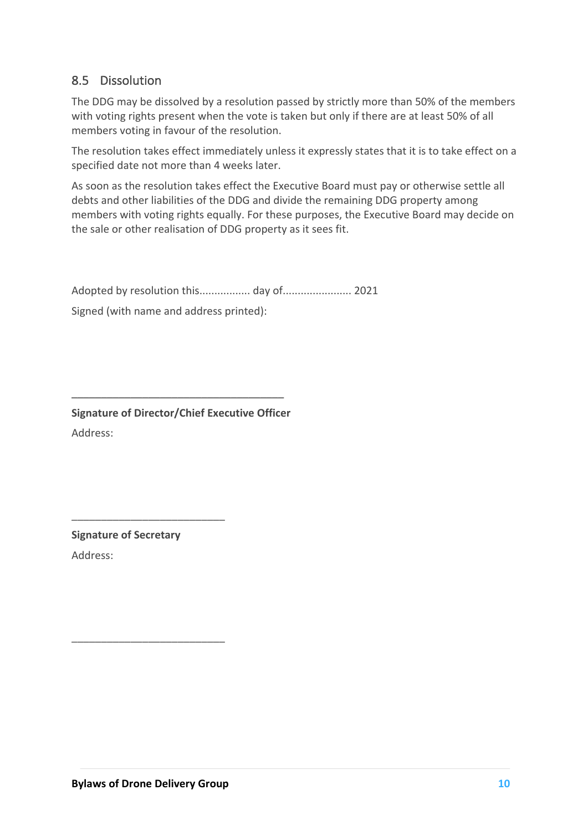## 8.5 Dissolution

The DDG may be dissolved by a resolution passed by strictly more than 50% of the members with voting rights present when the vote is taken but only if there are at least 50% of all members voting in favour of the resolution.

The resolution takes effect immediately unless it expressly states that it is to take effect on a specified date not more than 4 weeks later.

As soon as the resolution takes effect the Executive Board must pay or otherwise settle all debts and other liabilities of the DDG and divide the remaining DDG property among members with voting rights equally. For these purposes, the Executive Board may decide on the sale or other realisation of DDG property as it sees fit.

Adopted by resolution this................. day of....................... 2021

Signed (with name and address printed):

**Signature of Director/Chief Executive Officer**

 $\mathcal{L}=\{1,2,3,4,5\}$  , we can assume that  $\mathcal{L}=\{1,2,3,4,5\}$ 

Address:

**Signature of Secretary**

\_\_\_\_\_\_\_\_\_\_\_\_\_\_\_\_\_\_\_\_\_\_\_\_\_\_

\_\_\_\_\_\_\_\_\_\_\_\_\_\_\_\_\_\_\_\_\_\_\_\_\_\_

Address: